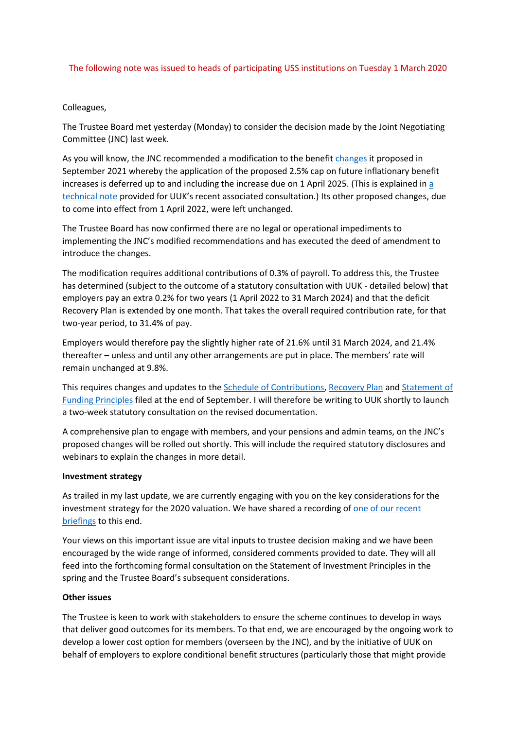## The following note was issued to heads of participating USS institutions on Tuesday 1 March 2020

## Colleagues,

The Trustee Board met yesterday (Monday) to consider the decision made by the Joint Negotiating Committee (JNC) last week.

As you will know, the JNC recommended a modification to the benefit [changes](https://www.uss.co.uk/for-members/articles-for-members/2021/09/09092021_proposed-changes-to-your-contributions-and-benefits) it proposed in September 2021 whereby the application of the proposed 2.5% cap on future inflationary benefit increases is deferred up to and including the increase due on 1 April 2025. (This is explained in a [technical note](https://www.ussemployers.org.uk/sites/default/files/field/attachemnt/USS%20technical%20note%20for%20UUK%20on%20the%20application%20of%20pension%20increases_Feb2022%20FINAL.pdf) provided for UUK's recent associated consultation.) Its other proposed changes, due to come into effect from 1 April 2022, were left unchanged.

The Trustee Board has now confirmed there are no legal or operational impediments to implementing the JNC's modified recommendations and has executed the deed of amendment to introduce the changes.

The modification requires additional contributions of 0.3% of payroll. To address this, the Trustee has determined (subject to the outcome of a statutory consultation with UUK - detailed below) that employers pay an extra 0.2% for two years (1 April 2022 to 31 March 2024) and that the deficit Recovery Plan is extended by one month. That takes the overall required contribution rate, for that two-year period, to 31.4% of pay.

Employers would therefore pay the slightly higher rate of 21.6% until 31 March 2024, and 21.4% thereafter – unless and until any other arrangements are put in place. The members' rate will remain unchanged at 9.8%.

This requires changes and updates to the [Schedule of Contributions,](https://www.uss.co.uk/-/media/project/ussmainsite/files/about-us/schedule-of-contributions/schedule-of-contributions-2020.pdf?rev=f0abce1a44b64a8a8cd8f0d3c726ebde&hash=58B5BDF4E70CF352064D49C12F8939DF) [Recovery Plan](https://www.uss.co.uk/-/media/project/ussmainsite/files/about-us/schedule-of-contributions/recovery-plan-2020.pdf?rev=93d6b44aa9c74ca0900a559defda369f&hash=5994D9A3B812C1E75054E7F725C73404) and [Statement of](https://www.uss.co.uk/-/media/project/ussmainsite/files/about-us/statement-of-funding-principles/statement-of-funding-principles-2020.pdf?rev=6e7b0f7b774a4e1bba323c7fe98c68f1)  [Funding Principles](https://www.uss.co.uk/-/media/project/ussmainsite/files/about-us/statement-of-funding-principles/statement-of-funding-principles-2020.pdf?rev=6e7b0f7b774a4e1bba323c7fe98c68f1) filed at the end of September. I will therefore be writing to UUK shortly to launch a two-week statutory consultation on the revised documentation.

A comprehensive plan to engage with members, and your pensions and admin teams, on the JNC's proposed changes will be rolled out shortly. This will include the required statutory disclosures and webinars to explain the changes in more detail.

## **Investment strategy**

As trailed in my last update, we are currently engaging with you on the key considerations for the investment strategy for the 2020 valuation. We have shared a recording of [one of our recent](https://vimeo.com/680378588/c1d11e2eb0)  [briefings](https://vimeo.com/680378588/c1d11e2eb0) to this end.

Your views on this important issue are vital inputs to trustee decision making and we have been encouraged by the wide range of informed, considered comments provided to date. They will all feed into the forthcoming formal consultation on the Statement of Investment Principles in the spring and the Trustee Board's subsequent considerations.

## **Other issues**

The Trustee is keen to work with stakeholders to ensure the scheme continues to develop in ways that deliver good outcomes for its members. To that end, we are encouraged by the ongoing work to develop a lower cost option for members (overseen by the JNC), and by the initiative of UUK on behalf of employers to explore conditional benefit structures (particularly those that might provide